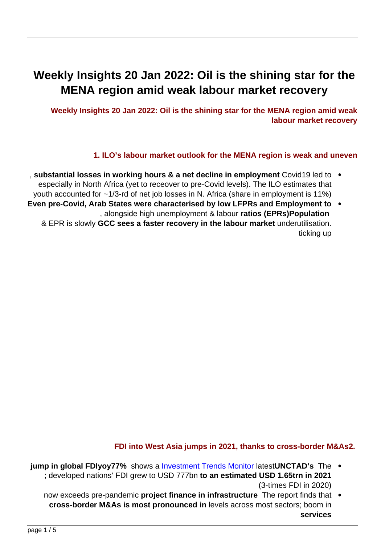# **Weekly Insights 20 Jan 2022: Oil is the shining star for the MENA region amid weak labour market recovery**

**Weekly Insights 20 Jan 2022: Oil is the shining star for the MENA region amid weak labour market recovery** 

## **1. ILO's labour market outlook for the MENA region is weak and uneven**

- substantial losses in working hours & a net decline in employment Covid19 led to . especially in North Africa (yet to receover to pre-Covid levels). The ILO estimates that youth accounted for  $\sim$ 1/3-rd of net job losses in N. Africa (share in employment is 11%)
- **Even pre-Covid, Arab States were characterised by low LFPRs and Employment to** , alongside high unemployment & labour ratios (EPRs)Population & EPR is slowly GCC sees a faster recovery in the labour market underutilisation. ticking up

|                            | Ratio of total weekly hours worked to population aged 15–64 (%) |      |      |      |      | Total weekly working hours in full-time equivalent jobs (FTE =<br>48 hours/week) (in millions) |      |      |      |      |
|----------------------------|-----------------------------------------------------------------|------|------|------|------|------------------------------------------------------------------------------------------------|------|------|------|------|
|                            | 2019                                                            | 2020 | 2021 | 2022 | 2023 | 2019                                                                                           | 2020 | 2021 | 2022 | 2023 |
| North Africa               | 18.8                                                            | 16.8 | 17.5 | 18.2 | 18.4 | 58.0                                                                                           | 53.0 | 56.0 | 59.0 | 61.0 |
| <b>Arab States</b>         | 22.1                                                            | 19.9 | 20.5 | 21.2 | 21.5 | 49.8                                                                                           | 45.9 | 48.3 | 51.1 | 53.0 |
| <b>GCC</b>                 | 30.5                                                            | 27.5 | 28.5 | 29.6 | 30   | 27.6                                                                                           | 25.3 | 26.5 | 27.9 | 28.7 |
| <b>Non-GCC Arab States</b> | 16.5                                                            | 14.9 | 15.3 | 15.8 | 16.1 | 22.2                                                                                           | 20.7 | 21.7 | 23.1 | 24.3 |
|                            | Employment to population ratio (%)                              |      |      |      |      | <b>Employment</b> (millions)                                                                   |      |      |      |      |
| North Africa               | 39.3                                                            | 37.3 | 37.4 | 37.9 | 38.2 | 64.0                                                                                           | 62.0 | 63.0 | 65.0 | 67.0 |
| <b>Arab States</b>         | 47.1                                                            | 45.7 | 45.7 | 46.4 | 46.8 | 53.5                                                                                           | 53.2 | 54.5 | 56.6 | 58.6 |
| GCC                        | 64.3                                                            | 63.1 | 63.1 | 64.1 | 64.9 | 28.9                                                                                           | 28.9 | 29.4 | 30.4 | 31.2 |
| <b>Non-GCC Arab States</b> | 35.8                                                            | 34.4 | 34.5 | 35.1 | 35.6 | 24.6                                                                                           | 24.3 | 25.1 | 26.3 | 27.4 |



#### **FDI into West Asia jumps in 2021, thanks to cross-border M&As2.**

- **jump in global FDIyoy77%** shows a **Investment Trends Monitor latestUNCTAD's** The  $\bullet$ : developed nations' FDI grew to USD 777bn to an estimated USD 1.65trn in 2021  $(3\t{-times}\,$  FDI in 2020)
	- that finds pre-pandemic **project finance in infrastructure** The report finds that  $\bullet$ cross-border M&As is most pronounced in levels across most sectors; boom in **services**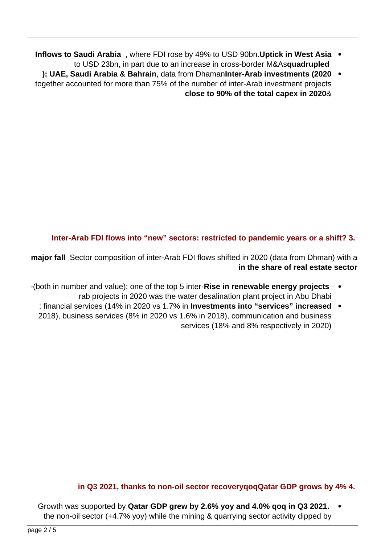- **Inflows to Saudi Arabia**, where FDI rose by 49% to USD 90bn. Uptick in West Asia to USD 23bn, in part due to an increase in cross-border M&Asquadrupled
- **): UAE, Saudi Arabia & Bahrain**, data from DhamanInter-Arab investments (2020) together accounted for more than 75% of the number of inter-Arab investment projects **close to 90% of the total capex in 2020&**



Source: Investment Trends Monitor, UNCTAD, Jan 2022, Arab Investment & Export Credit Guarantee Corporation (Dhaman). Charts created by Nasser Saidi & Associates

## Inter-Arab FDI flows into "new" sectors: restricted to pandemic years or a shift? 3.

major fall Sector composition of inter-Arab FDI flows shifted in 2020 (data from Dhman) with a in the share of real estate sector

- -(both in number and value); one of the top 5 inter-Rise in renewable energy projects rab projects in 2020 was the water desalination plant project in Abu Dhabi
	- : financial services (14% in 2020 vs 1.7% in Investments into "services" increased 2018), business services (8% in 2020 vs 1.6% in 2018), communication and business services (18% and 8% respectively in 2020)



Inter-Arab Projects Capital Investment by sector (as % of inter-Arab investment projects capex)

Source: Arab Investment & Export Credit Guarantee Corporation (Dhaman). Charts created by Nasser Saidi & Associates

#### in Q3 2021, thanks to non-oil sector recovery qoq Qatar GDP grows by 4% 4.

Growth was supported by **Qatar GDP grew by 2.6% yoy and 4.0% gog in Q3 2021.** the non-oil sector  $(+4.7\%$  voy) while the mining & quarrying sector activity dipped by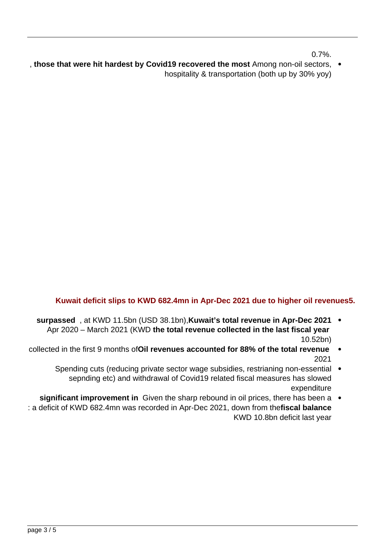0.7%.

Growth rates by sector: Covid19-hit sectors

, those that were hit hardest by Covid19 recovered the most Among non-oil sectors, hospitality & transportation (both up by 30% yoy)



Source: Planning & Statistics Authority, Qatar. Charts created by Nasser Saidi & Associates

## **Kuwait deficit slips to KWD 682.4mn in Apr-Dec 2021 due to higher oil revenues5.**

- **surpassed**, at KWD 11.5bn (USD 38.1bn), Kuwait's total revenue in Apr-Dec 2021 Apr 2020 – March 2021 (KWD the total revenue collected in the last fiscal vear  $(10.52bn)$
- *collected in the first 9 months of Oil revenues accounted for 88% of the total revenue*  $\bullet$ 2021
	- Spending cuts (reducing private sector wage subsidies, restrianing non-essential sepnding etc) and withdrawal of Covid 19 related fiscal measures has slowed expenditure
- significant improvement in Given the sharp rebound in oil prices, there has been a  $\cdot$  a deficit of KWD 682.4mn was recorded in Apr-Dec 2021, down from thefiscal balance KWD 10.8bn deficit last year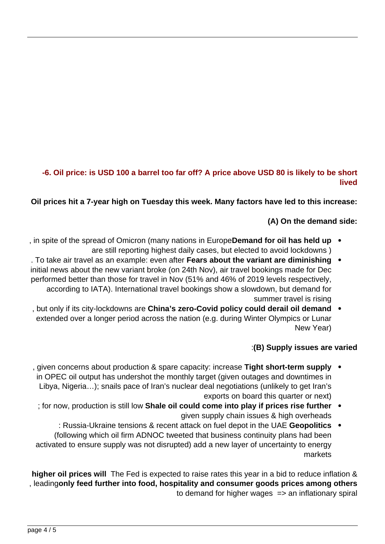

Source: Ministry of Finance, Kuwait. Charts created by Nasser Saidi & Associates

# -6. Oil price: is USD 100 a barrel too far off? A price above USD 80 is likely to be short **lived**

Oil prices hit a 7-year high on Tuesday this week. Many factors have led to this increase:

# **(A) On the demand side:**

- , in spite of the spread of Omicron (many nations in EuropeDemand for oil has held up  $\bullet$ are still reporting highest daily cases, but elected to avoid lockdowns)
- . To take air travel as an example: even after Fears about the variant are diminishing initial news about the new variant broke (on 24th Nov), air travel bookings made for Dec performed better than those for travel in Nov (51% and 46% of 2019 levels respectively. according to IATA). International travel bookings show a slowdown, but demand for summer travel is rising
- , but only if its city-lockdowns are **China's zero-Covid policy could derail oil demand** extended over a longer period across the nation (e.g. during Winter Olympics or Lunar New Year)

# **(B) Supply issues are varied**

- , given concerns about production & spare capacity: increase Tight short-term supply  $\bullet$ in OPEC oil output has undershot the monthly target (given outages and downtimes in Libya, Nigeria...); snails pace of Iran's nuclear deal negotiations (unlikely to get Iran's exports on board this quarter or next)
- for now, production is still low **Shale oil could come into play if prices rise further** given supply chain issues & high overheads
- : Russia-Ukraine tensions & recent attack on fuel depot in the UAE Geopolitics (following which oil firm ADNOC tweeted that business continuity plans had been activated to ensure supply was not disrupted) add a new layer of uncertainty to energy markets

**higher oil prices will** The Fed is expected to raise rates this year in a bid to reduce inflation & , leadingonly feed further into food, hospitality and consumer goods prices among others to demand for higher wages  $\Rightarrow$  an inflationary spiral